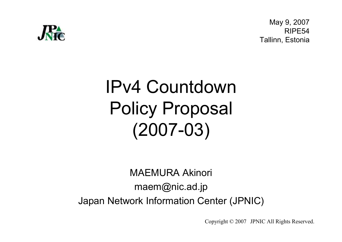

May 9, 2007 RIPE54Tallinn, Estonia

# IPv4 Countdown Policy Proposal(2007-03)

MAEMURA Akinorimaem@nic.ad.jpJapan Network Information Center (JPNIC)

Copyright © <sup>2007</sup> JPNIC All Rights Reserved.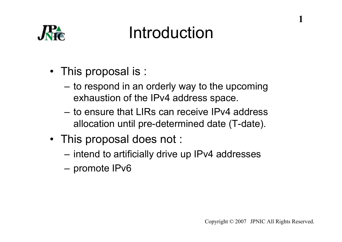

#### Introduction

- This proposal is :
	- –to respond in an orderly way to the upcoming<br>exhaustion of the ID:4 address space exhaustion of the IPv4 address space.
	- to ensure that LIRs can receive IPv4 address allocation until pre-determined date (T-date).
- This proposal does not :
	- intend to artificially drive up IPv4 addresses
	- promote IPv6

1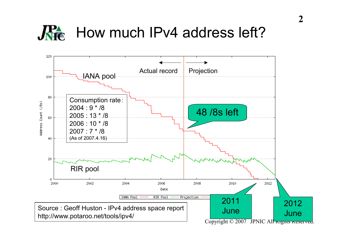#### $\mathbf{R}$ How much IPv4 address left?

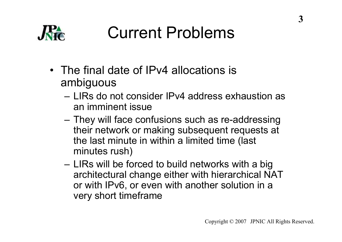

### Current Problems

- The final date of IPv4 allocations is<br>ambiqueus ambiguous
	- LIRs do not consider IPv4 address exhaustion as an imminent issue
	- They will face confusions such as re-addressing<br>their potwork or making subsequent requests at their network or making subsequent requests at the last minute in within a limited time (last minutes rush)
	- LIRs will be forced to build networks with a big<br>architectural change oither with biorarchical NA architectural change either with hierarchical NAT or with IPv6, or even with another solution in a very short timeframe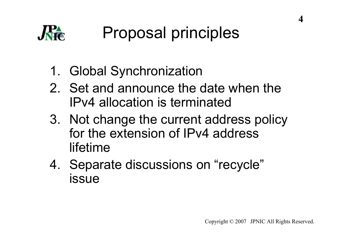

- 1. Global Synchronization
- 2. Set and announce the date when the IPv4 allocation is terminated
- 3. Not change the current address policy for the extension of IPv4 address lifetime
- 4. Separate discussions on "recycle"<br>issue issue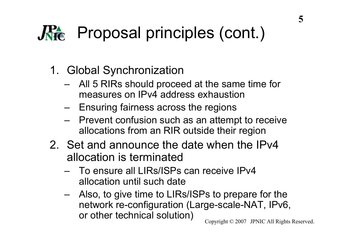## **RA** Proposal principles (cont.)

- 1. Global Synchronization
	- All 5 RIRs should proceed at the same time for<br>monsures on IPv4 address exhaustion measures on IPv4 address exhaustion
	- –Ensuring fairness across the regions
	- Prevent confusion such as an attempt to receive<br>allocations from an PIP outside their region allocations from an RIR outside their region
- 2. Set and announce the date when the IPv4 allocation is terminated
	- To ensure all LIRs/ISPs can receive IPv4 allocation until such date
	- Also, to give time to LIRs/ISPs to prepare for the<br>activate to configuration (Large scale NAT JBv6 network re-configuration (Large-scale-NAT, IPv6, or other technical solution)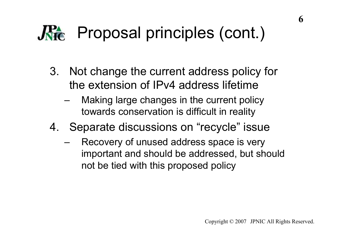## **Re** Proposal principles (cont.)

- 3. Not change the current address policy for the extension of IPv4 address lifetime
	- – Making large changes in the current policy towards conservation is difficult in reality
- 4. Separate discussions on "recycle" issue
	- Recovery of unused address space is very important and should be addressed, but should not be tied with this proposed policy

6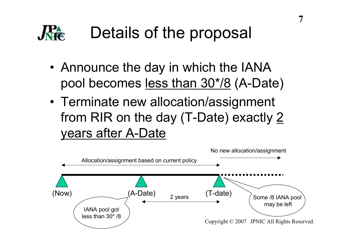## Details of the proposal

- Announce the day in which the IANA pool becomes <u>less than 30\*/8</u> (A-Date)
- •Terminate new allocation/assignment from RIR on the day (T-Date) exactly 2 years after A-Date

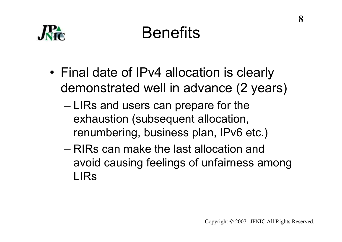

## Benefits

- •Final date of IPv4 allocation is clearly demonstrated well in advance (2 years)
	- LIRs and users can prepare for the exhaustion (subsequent allocation, renumbering, business plan, IPv6 etc.)
	- RIRs can make the last allocation and avoid causing feelings of unfairness among LIRs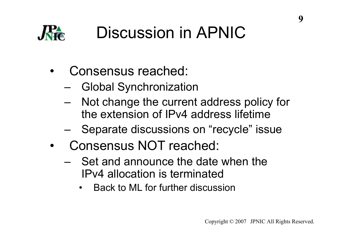

- • Consensus reached:
	- Global Synchronization
	- Not change the current address policy for the extension of IPv4 address lifetime
	- Separate discussions on "recycle" issue
- • Consensus NOT reached:
	- Set and announce the date when the IPv4 allocation is terminated
		- Back to ML for further discussion•

**9**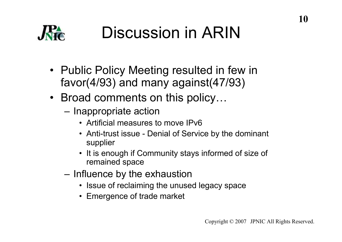

- Public Policy Meeting resulted in few in<br>favor(4/03) and many against(47/03) favor(4/93) and many against(47/93)
- Broad comments on this policy...
	- –Inappropriate action
		- Artificial measures to move IPv6
		- Anti-trust issue Denial of Service by the dominant supplier
		- It is enough if Community stays informed of size of remained anace remained space
	- Influence by the exhaustion
		- Issue of reclaiming the unused legacy space
		- Emergence of trade market